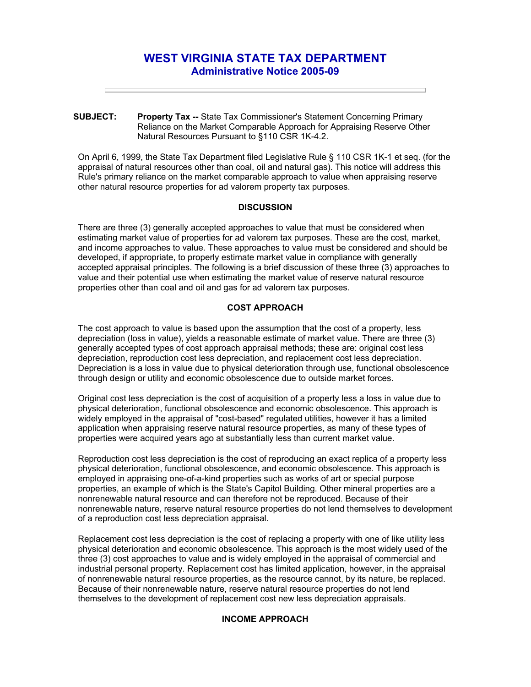# **WEST VIRGINIA STATE TAX DEPARTMENT Administrative Notice 2005-09**

**SUBJECT: Property Tax --** State Tax Commissioner's Statement Concerning Primary Reliance on the Market Comparable Approach for Appraising Reserve Other Natural Resources Pursuant to §110 CSR 1K-4.2.

On April 6, 1999, the State Tax Department filed Legislative Rule § 110 CSR 1K-1 et seq. (for the appraisal of natural resources other than coal, oil and natural gas). This notice will address this Rule's primary reliance on the market comparable approach to value when appraising reserve other natural resource properties for ad valorem property tax purposes.

#### **DISCUSSION**

There are three (3) generally accepted approaches to value that must be considered when estimating market value of properties for ad valorem tax purposes. These are the cost, market, and income approaches to value. These approaches to value must be considered and should be developed, if appropriate, to properly estimate market value in compliance with generally accepted appraisal principles. The following is a brief discussion of these three (3) approaches to value and their potential use when estimating the market value of reserve natural resource properties other than coal and oil and gas for ad valorem tax purposes.

## **COST APPROACH**

The cost approach to value is based upon the assumption that the cost of a property, less depreciation (loss in value), yields a reasonable estimate of market value. There are three (3) generally accepted types of cost approach appraisal methods; these are: original cost less depreciation, reproduction cost less depreciation, and replacement cost less depreciation. Depreciation is a loss in value due to physical deterioration through use, functional obsolescence through design or utility and economic obsolescence due to outside market forces.

Original cost less depreciation is the cost of acquisition of a property less a loss in value due to physical deterioration, functional obsolescence and economic obsolescence. This approach is widely employed in the appraisal of "cost-based" regulated utilities, however it has a limited application when appraising reserve natural resource properties, as many of these types of properties were acquired years ago at substantially less than current market value.

Reproduction cost less depreciation is the cost of reproducing an exact replica of a property less physical deterioration, functional obsolescence, and economic obsolescence. This approach is employed in appraising one-of-a-kind properties such as works of art or special purpose properties, an example of which is the State's Capitol Building. Other mineral properties are a nonrenewable natural resource and can therefore not be reproduced. Because of their nonrenewable nature, reserve natural resource properties do not lend themselves to development of a reproduction cost less depreciation appraisal.

Replacement cost less depreciation is the cost of replacing a property with one of like utility less physical deterioration and economic obsolescence. This approach is the most widely used of the three (3) cost approaches to value and is widely employed in the appraisal of commercial and industrial personal property. Replacement cost has limited application, however, in the appraisal of nonrenewable natural resource properties, as the resource cannot, by its nature, be replaced. Because of their nonrenewable nature, reserve natural resource properties do not lend themselves to the development of replacement cost new less depreciation appraisals.

#### **INCOME APPROACH**